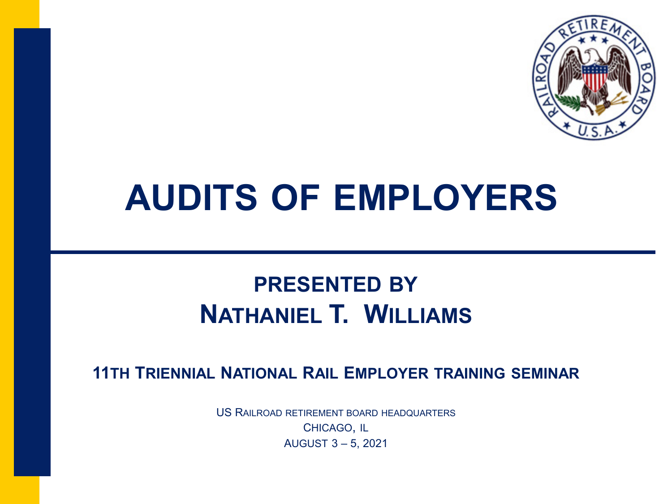

### **AUDITS OF EMPLOYERS**

#### **PRESENTED BY NATHANIEL T. WILLIAMS**

**11TH TRIENNIAL NATIONAL RAIL EMPLOYER TRAINING SEMINAR**

US RAILROAD RETIREMENT BOARD HEADQUARTERS CHICAGO, IL AUGUST 3 – 5, 2021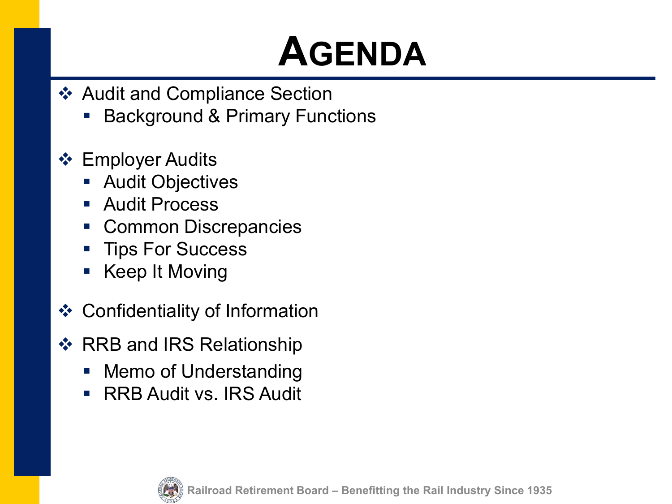### **AGENDA**

- ❖ Audit and Compliance Section
	- Background & Primary Functions
- ❖ Employer Audits
	- **Audit Objectives**
	- **Audit Process**
	- Common Discrepancies
	- **Tips For Success**
	- **Keep It Moving**
- **❖ Confidentiality of Information**
- ❖ RRB and IRS Relationship
	- Memo of Understanding
	- **RRB Audit vs. IRS Audit**

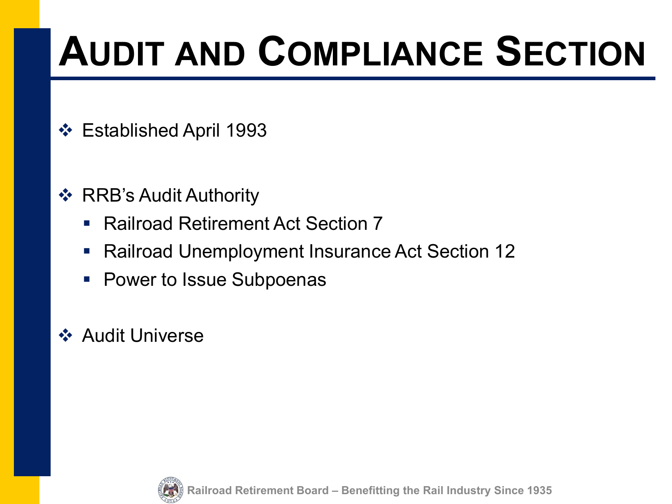## **AUDIT AND COMPLIANCE SECTION**

- Established April 1993
- **❖ RRB's Audit Authority** 
	- Railroad Retirement Act Section 7
	- Railroad Unemployment Insurance Act Section 12
	- **Power to Issue Subpoenas**

#### **❖ Audit Universe**

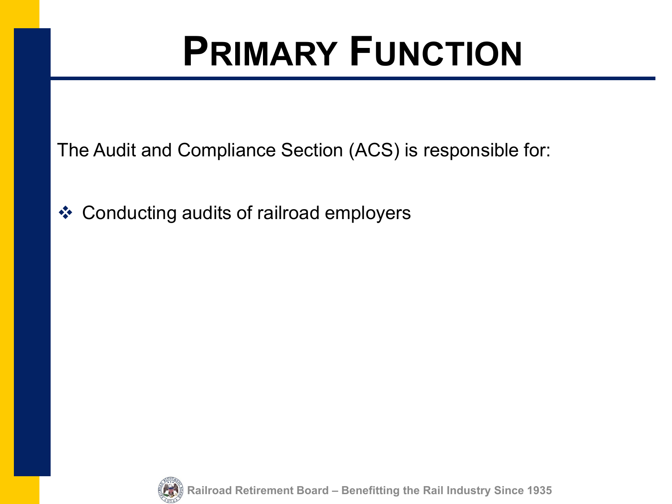### **PRIMARY FUNCTION**

The Audit and Compliance Section (ACS) is responsible for:

Conducting audits of railroad employers



**Railroad Retirement Board – Benefitting the Rail Industry Since 1935**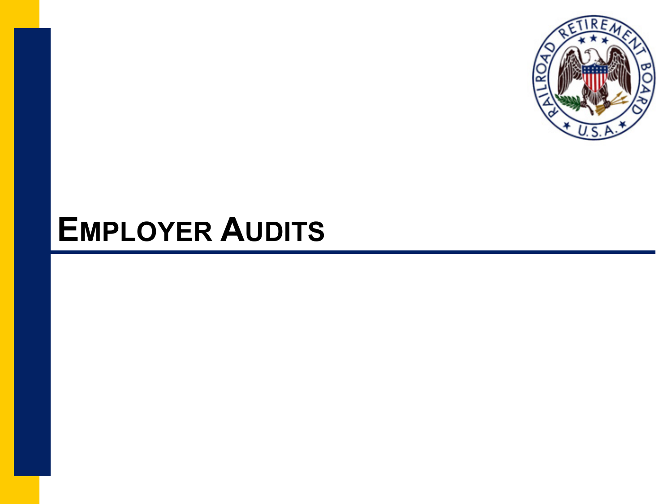

#### **EMPLOYER AUDITS**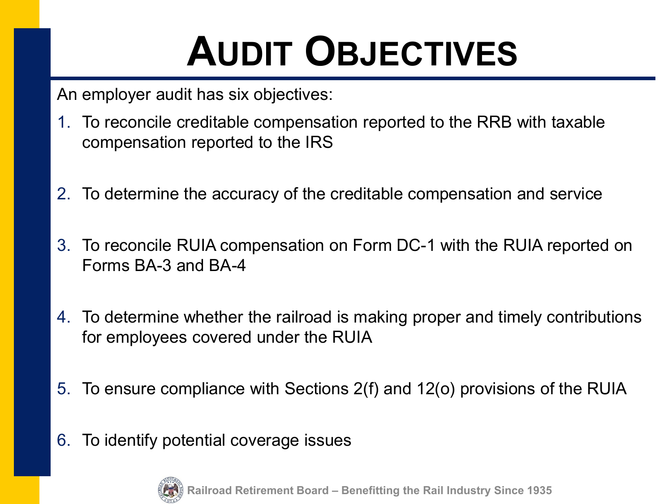## **AUDIT OBJECTIVES**

An employer audit has six objectives:

- 1. To reconcile creditable compensation reported to the RRB with taxable compensation reported to the IRS
- 2. To determine the accuracy of the creditable compensation and service
- 3. To reconcile RUIA compensation on Form DC-1 with the RUIA reported on Forms BA-3 and BA-4
- 4. To determine whether the railroad is making proper and timely contributions for employees covered under the RUIA
- 5. To ensure compliance with Sections 2(f) and 12(o) provisions of the RUIA
- 6. To identify potential coverage issues

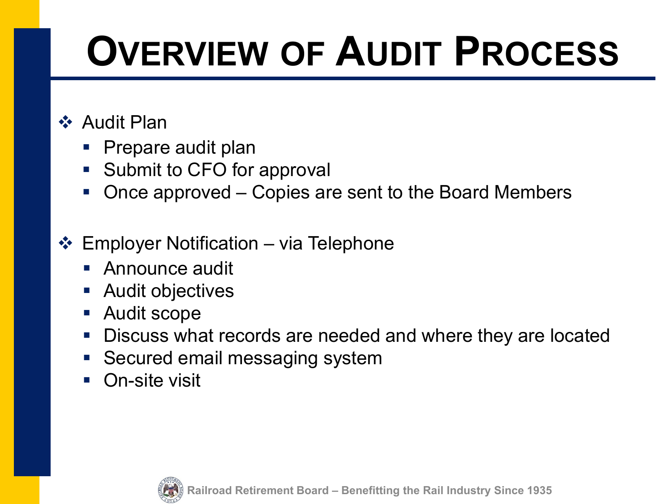#### **❖ Audit Plan**

- Prepare audit plan
- **Submit to CFO for approval**
- Once approved Copies are sent to the Board Members
- $\div$  Employer Notification via Telephone
	- **Announce audit**
	- **Audit objectives**
	- Audit scope
	- **Discuss what records are needed and where they are located**
	- **Secured email messaging system**
	- On-site visit

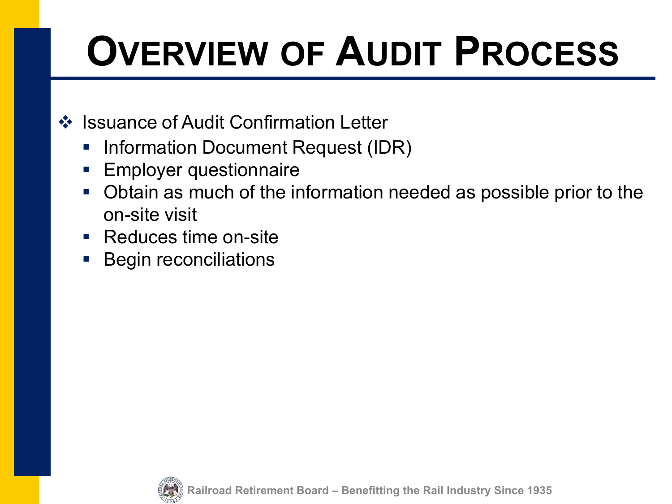#### ❖ Issuance of Audit Confirmation Letter

- **Information Document Request (IDR)**
- **Employer questionnaire**
- Obtain as much of the information needed as possible prior to the on-site visit
- Reduces time on-site
- **Begin reconciliations**

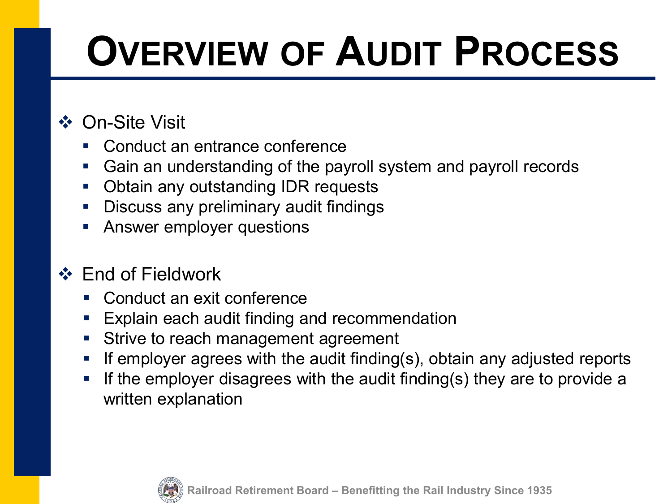#### **❖ On-Site Visit**

- Conduct an entrance conference
- Gain an understanding of the payroll system and payroll records
- Obtain any outstanding IDR requests
- **-** Discuss any preliminary audit findings
- **Answer employer questions**

#### **❖ End of Fieldwork**

- Conduct an exit conference
- **Explain each audit finding and recommendation**
- **Strive to reach management agreement**
- **If employer agrees with the audit finding(s), obtain any adjusted reports**
- **If the employer disagrees with the audit finding(s) they are to provide a** written explanation

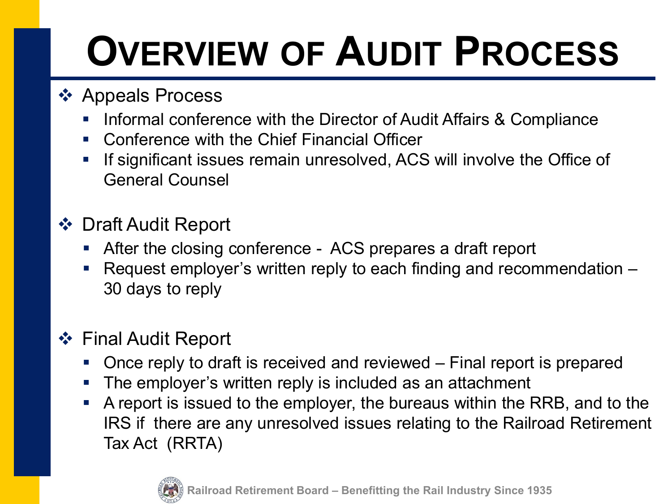#### ❖ Appeals Process

- **Informal conference with the Director of Audit Affairs & Compliance**
- **E.** Conference with the Chief Financial Officer
- **If significant issues remain unresolved, ACS will involve the Office of** General Counsel

#### ❖ Draft Audit Report

- After the closing conference ACS prepares a draft report
- Request employer's written reply to each finding and recommendation 30 days to reply

#### Final Audit Report

- Once reply to draft is received and reviewed Final report is prepared
- The employer's written reply is included as an attachment
- A report is issued to the employer, the bureaus within the RRB, and to the IRS if there are any unresolved issues relating to the Railroad Retirement Tax Act (RRTA)

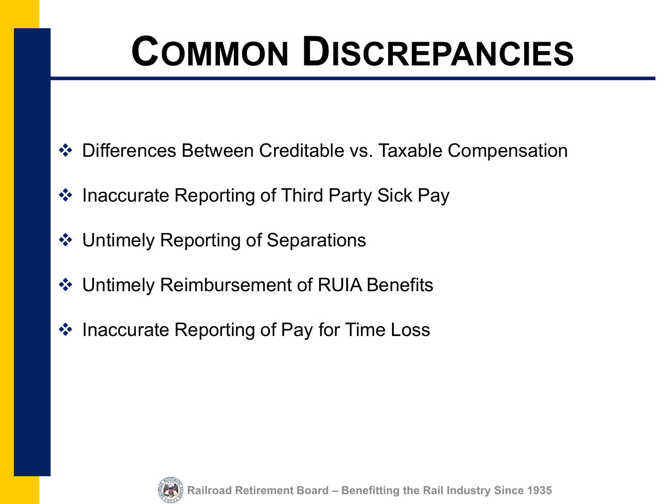## **COMMON DISCREPANCIES**

- Differences Between Creditable vs. Taxable Compensation
- ❖ Inaccurate Reporting of Third Party Sick Pay
- ❖ Untimely Reporting of Separations
- Untimely Reimbursement of RUIA Benefits
- ❖ Inaccurate Reporting of Pay for Time Loss

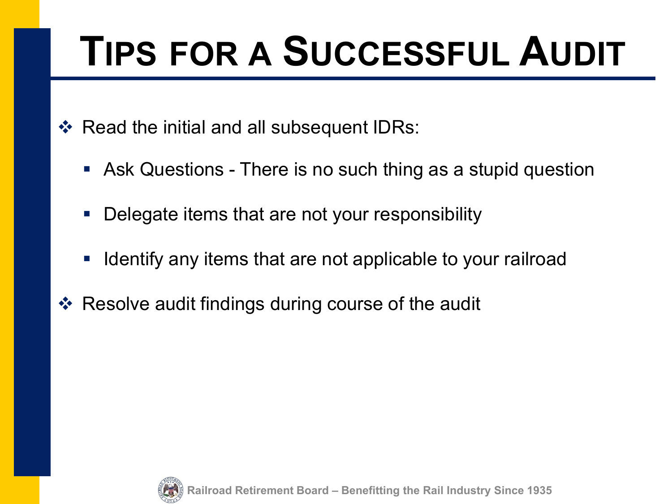## **TIPS FOR A SUCCESSFUL AUDIT**

 $\div$  Read the initial and all subsequent IDRs:

- Ask Questions There is no such thing as a stupid question
- **Delegate items that are not your responsibility**
- **If Identify any items that are not applicable to your railroad**
- ❖ Resolve audit findings during course of the audit

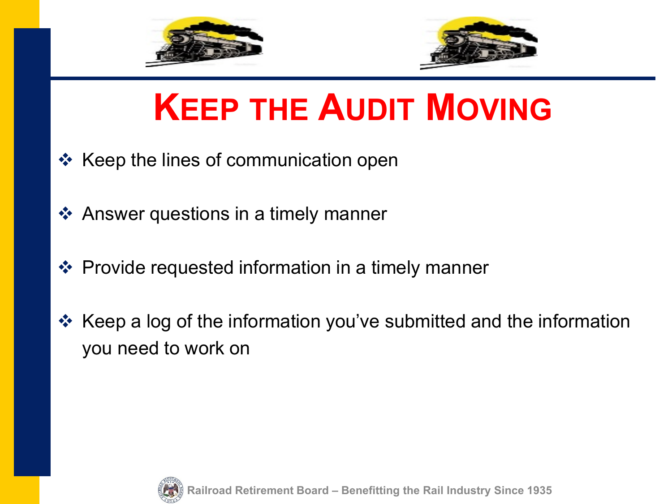



### **KEEP THE AUDIT MOVING**

- $\div$  Keep the lines of communication open
- ❖ Answer questions in a timely manner
- ❖ Provide requested information in a timely manner
- Keep a log of the information you've submitted and the information you need to work on

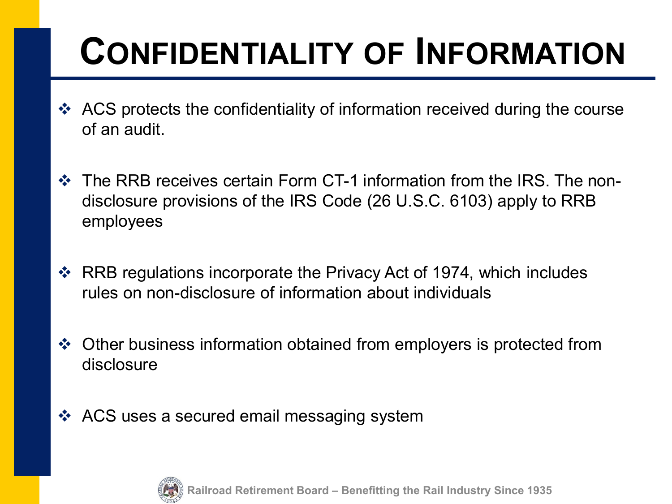### **CONFIDENTIALITY OF INFORMATION**

- ◆ ACS protects the confidentiality of information received during the course of an audit.
- The RRB receives certain Form CT-1 information from the IRS. The nondisclosure provisions of the IRS Code (26 U.S.C. 6103) apply to RRB employees
- RRB regulations incorporate the Privacy Act of 1974, which includes rules on non-disclosure of information about individuals
- Other business information obtained from employers is protected from disclosure
- ❖ ACS uses a secured email messaging system

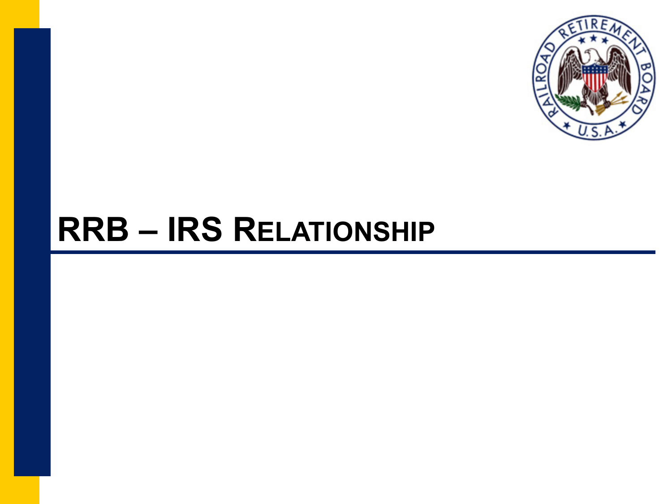

### **RRB – IRS RELATIONSHIP**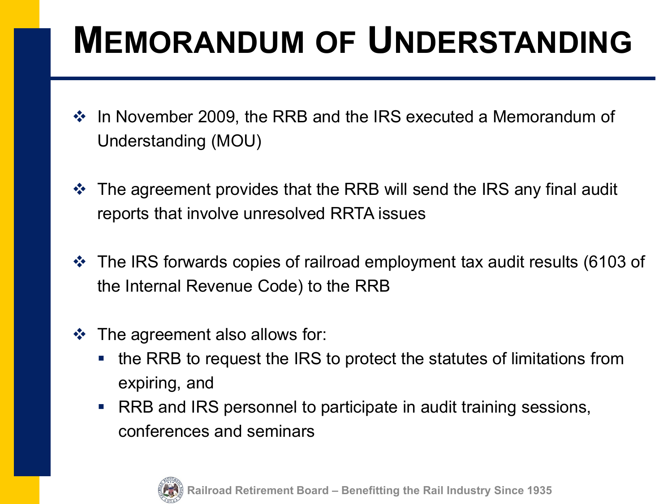### **MEMORANDUM OF UNDERSTANDING**

- $\cdot$  In November 2009, the RRB and the IRS executed a Memorandum of Understanding (MOU)
- $\triangle$  The agreement provides that the RRB will send the IRS any final audit reports that involve unresolved RRTA issues
- The IRS forwards copies of railroad employment tax audit results (6103 of the Internal Revenue Code) to the RRB
- $\clubsuit$  The agreement also allows for:
	- the RRB to request the IRS to protect the statutes of limitations from expiring, and
	- RRB and IRS personnel to participate in audit training sessions, conferences and seminars

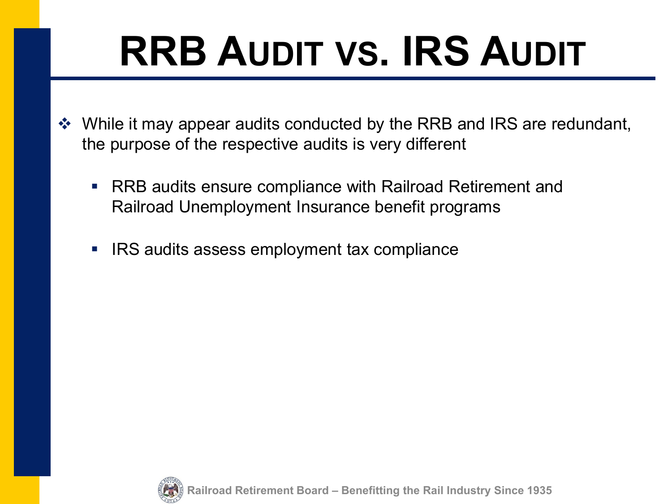# **RRB AUDIT VS. IRS AUDIT**

- ◆ While it may appear audits conducted by the RRB and IRS are redundant, the purpose of the respective audits is very different
	- RRB audits ensure compliance with Railroad Retirement and Railroad Unemployment Insurance benefit programs
	- **IRS audits assess employment tax compliance**

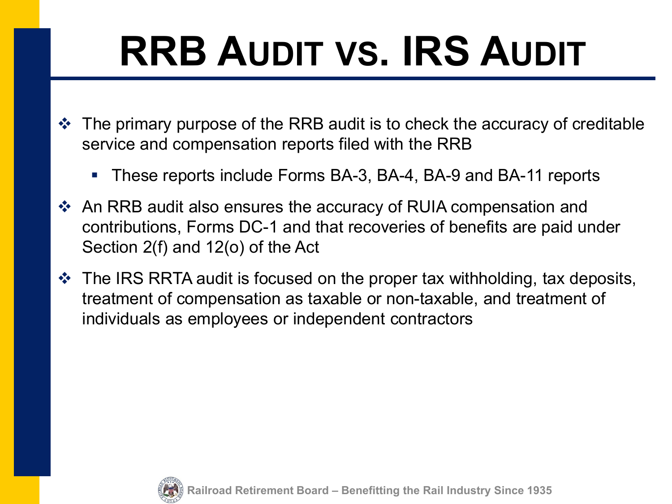# **RRB AUDIT VS. IRS AUDIT**

- The primary purpose of the RRB audit is to check the accuracy of creditable service and compensation reports filed with the RRB
	- These reports include Forms BA-3, BA-4, BA-9 and BA-11 reports
- An RRB audit also ensures the accuracy of RUIA compensation and contributions, Forms DC-1 and that recoveries of benefits are paid under Section 2(f) and 12(o) of the Act
- $\triangle$  The IRS RRTA audit is focused on the proper tax withholding, tax deposits, treatment of compensation as taxable or non-taxable, and treatment of individuals as employees or independent contractors

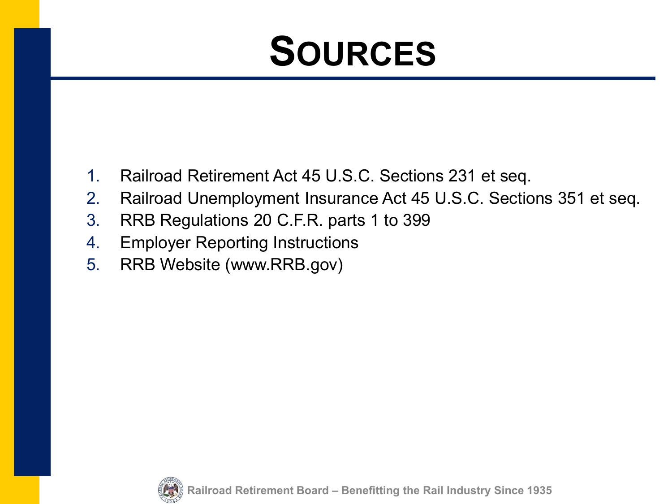### **SOURCES**

- 1. Railroad Retirement Act 45 U.S.C. Sections 231 et seq.
- 2. Railroad Unemployment Insurance Act 45 U.S.C. Sections 351 et seq.
- 3. RRB Regulations 20 C.F.R. parts 1 to 399
- 4. Employer Reporting Instructions
- 5. RRB Website (www.RRB.gov)